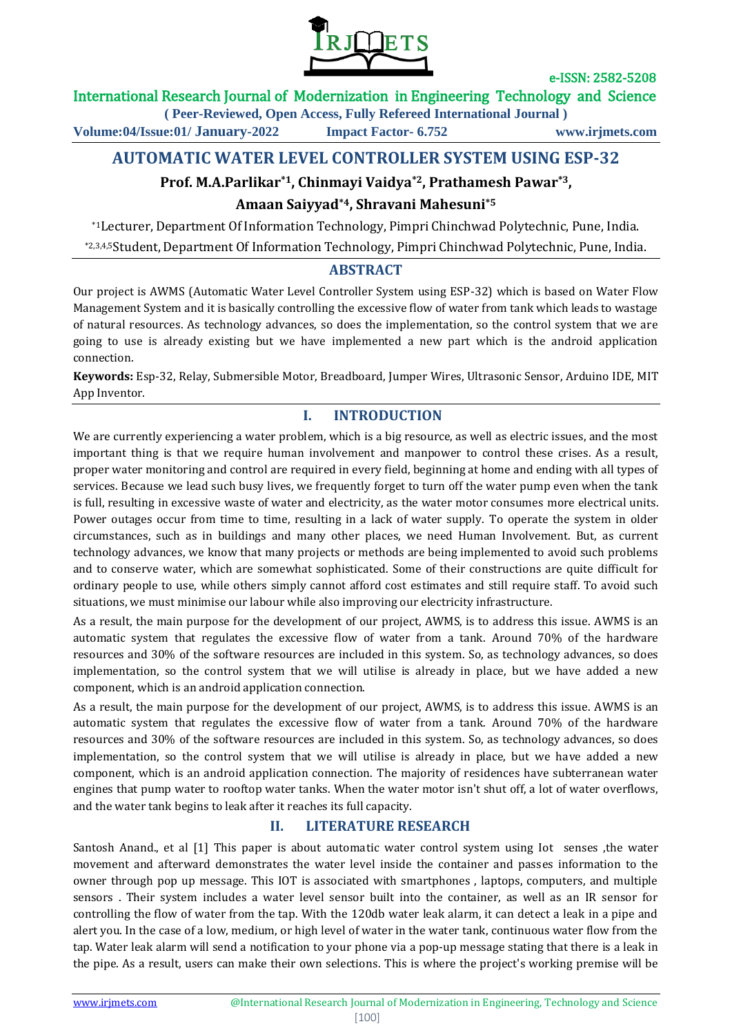

## International Research Journal of Modernization in Engineering Technology and Science

**( Peer-Reviewed, Open Access, Fully Refereed International Journal )**

**Volume:04/Issue:01/ January-2022 Impact Factor- 6.752 www.irjmets.com**

# **AUTOMATIC WATER LEVEL CONTROLLER SYSTEM USING ESP-32**

## **Prof. M.A.Parlikar\*1, Chinmayi Vaidya\*2, Prathamesh Pawar\*3,**

### **Amaan Saiyyad\*4, Shravani Mahesuni\*5**

\*1Lecturer, Department Of Information Technology, Pimpri Chinchwad Polytechnic, Pune, India. \*2,3,4,5Student, Department Of Information Technology, Pimpri Chinchwad Polytechnic, Pune, India.

### **ABSTRACT**

Our project is AWMS (Automatic Water Level Controller System using ESP-32) which is based on Water Flow Management System and it is basically controlling the excessive flow of water from tank which leads to wastage of natural resources. As technology advances, so does the implementation, so the control system that we are going to use is already existing but we have implemented a new part which is the android application connection.

**Keywords:** Esp-32, Relay, Submersible Motor, Breadboard, Jumper Wires, Ultrasonic Sensor, Arduino IDE, MIT App Inventor.

# **I. INTRODUCTION**

We are currently experiencing a water problem, which is a big resource, as well as electric issues, and the most important thing is that we require human involvement and manpower to control these crises. As a result, proper water monitoring and control are required in every field, beginning at home and ending with all types of services. Because we lead such busy lives, we frequently forget to turn off the water pump even when the tank is full, resulting in excessive waste of water and electricity, as the water motor consumes more electrical units. Power outages occur from time to time, resulting in a lack of water supply. To operate the system in older circumstances, such as in buildings and many other places, we need Human Involvement. But, as current technology advances, we know that many projects or methods are being implemented to avoid such problems and to conserve water, which are somewhat sophisticated. Some of their constructions are quite difficult for ordinary people to use, while others simply cannot afford cost estimates and still require staff. To avoid such situations, we must minimise our labour while also improving our electricity infrastructure.

As a result, the main purpose for the development of our project, AWMS, is to address this issue. AWMS is an automatic system that regulates the excessive flow of water from a tank. Around 70% of the hardware resources and 30% of the software resources are included in this system. So, as technology advances, so does implementation, so the control system that we will utilise is already in place, but we have added a new component, which is an android application connection.

As a result, the main purpose for the development of our project, AWMS, is to address this issue. AWMS is an automatic system that regulates the excessive flow of water from a tank. Around 70% of the hardware resources and 30% of the software resources are included in this system. So, as technology advances, so does implementation, so the control system that we will utilise is already in place, but we have added a new component, which is an android application connection. The majority of residences have subterranean water engines that pump water to rooftop water tanks. When the water motor isn't shut off, a lot of water overflows, and the water tank begins to leak after it reaches its full capacity.

## **II. LITERATURE RESEARCH**

Santosh Anand., et al [1] This paper is about automatic water control system using Iot senses ,the water movement and afterward demonstrates the water level inside the container and passes information to the owner through pop up message. This IOT is associated with smartphones , laptops, computers, and multiple sensors . Their system includes a water level sensor built into the container, as well as an IR sensor for controlling the flow of water from the tap. With the 120db water leak alarm, it can detect a leak in a pipe and alert you. In the case of a low, medium, or high level of water in the water tank, continuous water flow from the tap. Water leak alarm will send a notification to your phone via a pop-up message stating that there is a leak in the pipe. As a result, users can make their own selections. This is where the project's working premise will be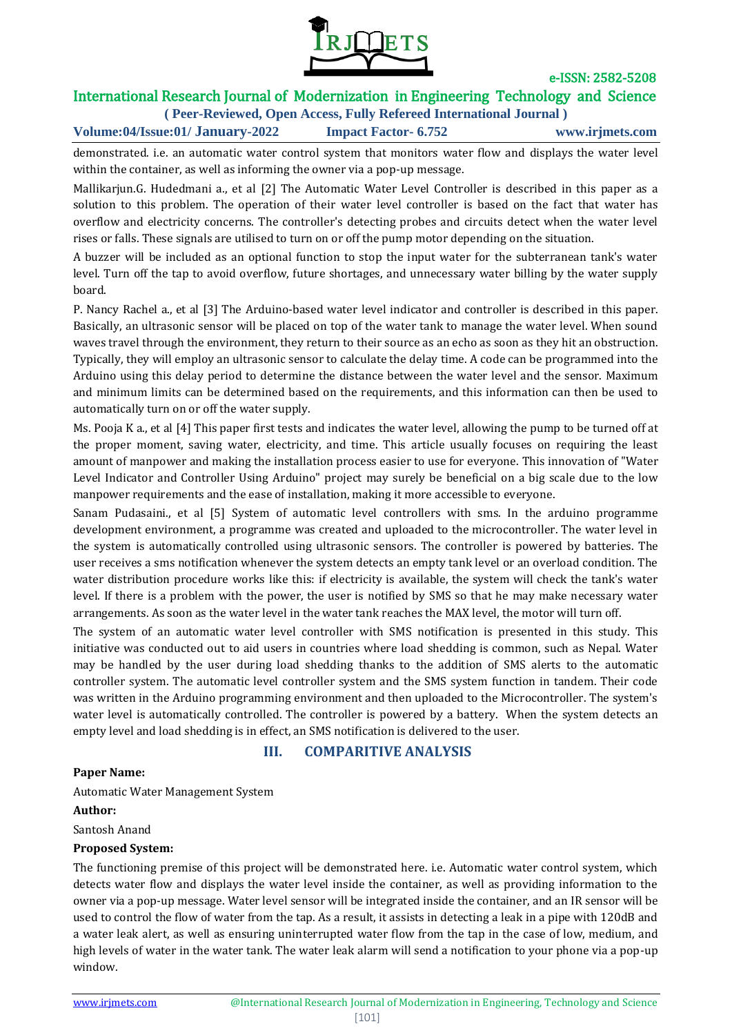

# International Research Journal of Modernization in Engineering Technology and Science

**( Peer-Reviewed, Open Access, Fully Refereed International Journal ) Volume:04/Issue:01/ January-2022 Impact Factor- 6.752 www.irjmets.com**

demonstrated. i.e. an automatic water control system that monitors water flow and displays the water level within the container, as well as informing the owner via a pop-up message.

Mallikarjun.G. Hudedmani a., et al [2] The Automatic Water Level Controller is described in this paper as a solution to this problem. The operation of their water level controller is based on the fact that water has overflow and electricity concerns. The controller's detecting probes and circuits detect when the water level rises or falls. These signals are utilised to turn on or off the pump motor depending on the situation.

A buzzer will be included as an optional function to stop the input water for the subterranean tank's water level. Turn off the tap to avoid overflow, future shortages, and unnecessary water billing by the water supply board.

P. Nancy Rachel a., et al [3] The Arduino-based water level indicator and controller is described in this paper. Basically, an ultrasonic sensor will be placed on top of the water tank to manage the water level. When sound waves travel through the environment, they return to their source as an echo as soon as they hit an obstruction. Typically, they will employ an ultrasonic sensor to calculate the delay time. A code can be programmed into the Arduino using this delay period to determine the distance between the water level and the sensor. Maximum and minimum limits can be determined based on the requirements, and this information can then be used to automatically turn on or off the water supply.

Ms. Pooja K a., et al [4] This paper first tests and indicates the water level, allowing the pump to be turned off at the proper moment, saving water, electricity, and time. This article usually focuses on requiring the least amount of manpower and making the installation process easier to use for everyone. This innovation of "Water Level Indicator and Controller Using Arduino" project may surely be beneficial on a big scale due to the low manpower requirements and the ease of installation, making it more accessible to everyone.

Sanam Pudasaini., et al [5] System of automatic level controllers with sms. In the arduino programme development environment, a programme was created and uploaded to the microcontroller. The water level in the system is automatically controlled using ultrasonic sensors. The controller is powered by batteries. The user receives a sms notification whenever the system detects an empty tank level or an overload condition. The water distribution procedure works like this: if electricity is available, the system will check the tank's water level. If there is a problem with the power, the user is notified by SMS so that he may make necessary water arrangements. As soon as the water level in the water tank reaches the MAX level, the motor will turn off.

The system of an automatic water level controller with SMS notification is presented in this study. This initiative was conducted out to aid users in countries where load shedding is common, such as Nepal. Water may be handled by the user during load shedding thanks to the addition of SMS alerts to the automatic controller system. The automatic level controller system and the SMS system function in tandem. Their code was written in the Arduino programming environment and then uploaded to the Microcontroller. The system's water level is automatically controlled. The controller is powered by a battery. When the system detects an empty level and load shedding is in effect, an SMS notification is delivered to the user.

## **III. COMPARITIVE ANALYSIS**

#### **Paper Name:**

Automatic Water Management System

#### **Author:**

Santosh Anand

### **Proposed System:**

The functioning premise of this project will be demonstrated here. i.e. Automatic water control system, which detects water flow and displays the water level inside the container, as well as providing information to the owner via a pop-up message. Water level sensor will be integrated inside the container, and an IR sensor will be used to control the flow of water from the tap. As a result, it assists in detecting a leak in a pipe with 120dB and a water leak alert, as well as ensuring uninterrupted water flow from the tap in the case of low, medium, and high levels of water in the water tank. The water leak alarm will send a notification to your phone via a pop-up window.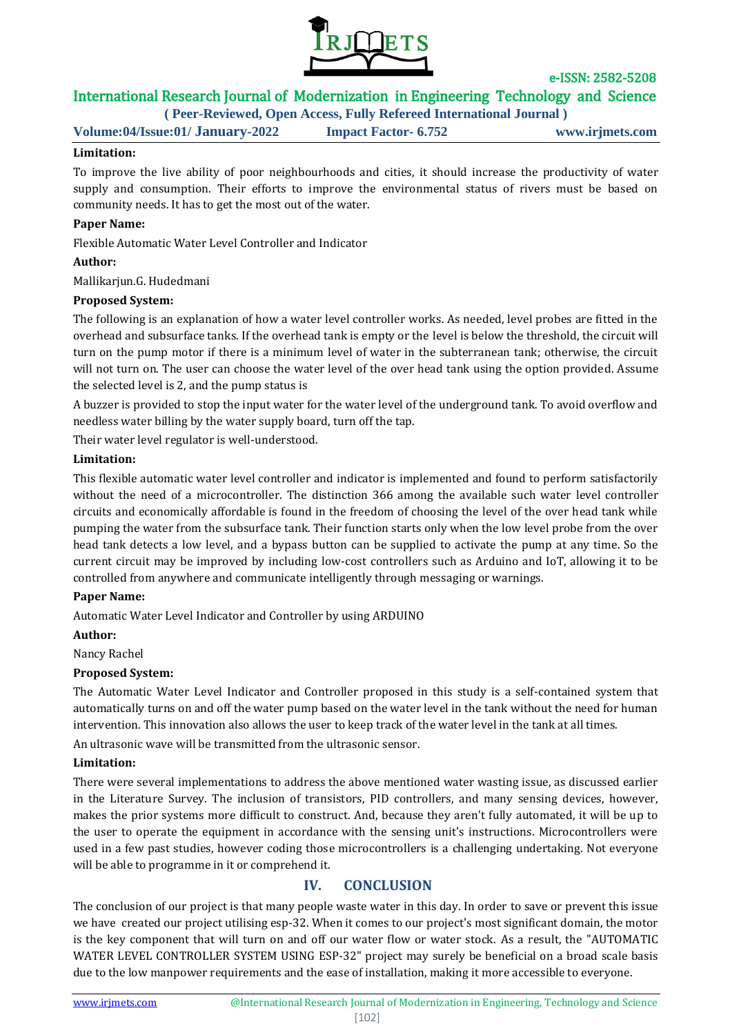

# International Research Journal of Modernization in Engineering Technology and Science

**( Peer-Reviewed, Open Access, Fully Refereed International Journal )**

**Volume:04/Issue:01/ January-2022 Impact Factor- 6.752 www.irjmets.com**

#### **Limitation:**

To improve the live ability of poor neighbourhoods and cities, it should increase the productivity of water supply and consumption. Their efforts to improve the environmental status of rivers must be based on community needs. It has to get the most out of the water.

#### **Paper Name:**

Flexible Automatic Water Level Controller and Indicator

#### **Author:**

Mallikarjun.G. Hudedmani

#### **Proposed System:**

The following is an explanation of how a water level controller works. As needed, level probes are fitted in the overhead and subsurface tanks. If the overhead tank is empty or the level is below the threshold, the circuit will turn on the pump motor if there is a minimum level of water in the subterranean tank; otherwise, the circuit will not turn on. The user can choose the water level of the over head tank using the option provided. Assume the selected level is 2, and the pump status is

A buzzer is provided to stop the input water for the water level of the underground tank. To avoid overflow and needless water billing by the water supply board, turn off the tap.

Their water level regulator is well-understood.

#### **Limitation:**

This flexible automatic water level controller and indicator is implemented and found to perform satisfactorily without the need of a microcontroller. The distinction 366 among the available such water level controller circuits and economically affordable is found in the freedom of choosing the level of the over head tank while pumping the water from the subsurface tank. Their function starts only when the low level probe from the over head tank detects a low level, and a bypass button can be supplied to activate the pump at any time. So the current circuit may be improved by including low-cost controllers such as Arduino and IoT, allowing it to be controlled from anywhere and communicate intelligently through messaging or warnings.

#### **Paper Name:**

Automatic Water Level Indicator and Controller by using ARDUINO

#### **Author:**

Nancy Rachel

#### **Proposed System:**

The Automatic Water Level Indicator and Controller proposed in this study is a self-contained system that automatically turns on and off the water pump based on the water level in the tank without the need for human intervention. This innovation also allows the user to keep track of the water level in the tank at all times.

An ultrasonic wave will be transmitted from the ultrasonic sensor.

#### **Limitation:**

There were several implementations to address the above mentioned water wasting issue, as discussed earlier in the Literature Survey. The inclusion of transistors, PID controllers, and many sensing devices, however, makes the prior systems more difficult to construct. And, because they aren't fully automated, it will be up to the user to operate the equipment in accordance with the sensing unit's instructions. Microcontrollers were used in a few past studies, however coding those microcontrollers is a challenging undertaking. Not everyone will be able to programme in it or comprehend it.

## **IV. CONCLUSION**

The conclusion of our project is that many people waste water in this day. In order to save or prevent this issue we have created our project utilising esp-32. When it comes to our project's most significant domain, the motor is the key component that will turn on and off our water flow or water stock. As a result, the "AUTOMATIC WATER LEVEL CONTROLLER SYSTEM USING ESP-32" project may surely be beneficial on a broad scale basis due to the low manpower requirements and the ease of installation, making it more accessible to everyone.